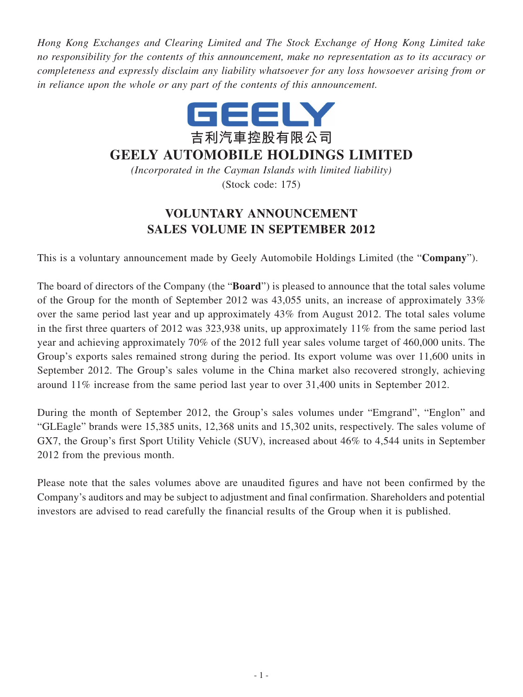*Hong Kong Exchanges and Clearing Limited and The Stock Exchange of Hong Kong Limited take no responsibility for the contents of this announcement, make no representation as to its accuracy or completeness and expressly disclaim any liability whatsoever for any loss howsoever arising from or in reliance upon the whole or any part of the contents of this announcement.*



## **GEELY AUTOMOBILE HOLDINGS LIMITED**

*(Incorporated in the Cayman Islands with limited liability)* (Stock code: 175)

## **VOLUNTARY ANNOUNCEMENT SALES VOLUME IN SEPTEMBER 2012**

This is a voluntary announcement made by Geely Automobile Holdings Limited (the "**Company**").

The board of directors of the Company (the "**Board**") is pleased to announce that the total sales volume of the Group for the month of September 2012 was 43,055 units, an increase of approximately 33% over the same period last year and up approximately 43% from August 2012. The total sales volume in the first three quarters of 2012 was 323,938 units, up approximately 11% from the same period last year and achieving approximately 70% of the 2012 full year sales volume target of 460,000 units. The Group's exports sales remained strong during the period. Its export volume was over 11,600 units in September 2012. The Group's sales volume in the China market also recovered strongly, achieving around 11% increase from the same period last year to over 31,400 units in September 2012.

During the month of September 2012, the Group's sales volumes under "Emgrand", "Englon" and "GLEagle" brands were 15,385 units, 12,368 units and 15,302 units, respectively. The sales volume of GX7, the Group's first Sport Utility Vehicle (SUV), increased about 46% to 4,544 units in September 2012 from the previous month.

Please note that the sales volumes above are unaudited figures and have not been confirmed by the Company's auditors and may be subject to adjustment and final confirmation. Shareholders and potential investors are advised to read carefully the financial results of the Group when it is published.